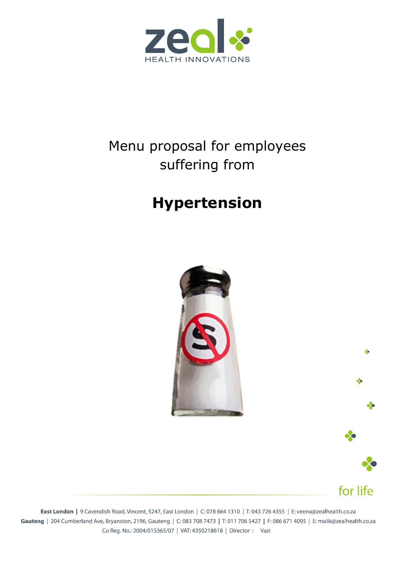

## Menu proposal for employees suffering from

# **Hypertension**





for life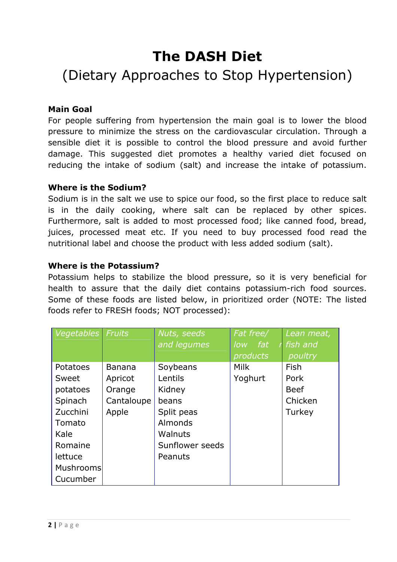## **The DASH Diet**

## (Dietary Approaches to Stop Hypertension)

## **Main Goal**

For people suffering from hypertension the main goal is to lower the blood pressure to minimize the stress on the cardiovascular circulation. Through a sensible diet it is possible to control the blood pressure and avoid further damage. This suggested diet promotes a healthy varied diet focused on reducing the intake of sodium (salt) and increase the intake of potassium.

## **Where is the Sodium?**

Sodium is in the salt we use to spice our food, so the first place to reduce salt is in the daily cooking, where salt can be replaced by other spices. Furthermore, salt is added to most processed food; like canned food, bread, juices, processed meat etc. If you need to buy processed food read the nutritional label and choose the product with less added sodium (salt).

### **Where is the Potassium?**

Potassium helps to stabilize the blood pressure, so it is very beneficial for health to assure that the daily diet contains potassium-rich food sources. Some of these foods are listed below, in prioritized order (NOTE: The listed foods refer to FRESH foods; NOT processed):

| Vegetables Fruits |               | Nuts, seeds     | Fat free/    | Lean meat,  |
|-------------------|---------------|-----------------|--------------|-------------|
|                   |               | and legumes     | fat<br>low - | fish and    |
|                   |               |                 | products     | poultry     |
| Potatoes          | <b>Banana</b> | Soybeans        | <b>Milk</b>  | Fish        |
| Sweet             | Apricot       | Lentils         | Yoghurt      | Pork        |
| potatoes          | Orange        | Kidney          |              | <b>Beef</b> |
| Spinach           | Cantaloupe    | beans           |              | Chicken     |
| Zucchini          | Apple         | Split peas      |              | Turkey      |
| Tomato            |               | Almonds         |              |             |
| Kale              |               | <b>Walnuts</b>  |              |             |
| Romaine           |               | Sunflower seeds |              |             |
| lettuce           |               | Peanuts         |              |             |
| Mushrooms         |               |                 |              |             |
| Cucumber          |               |                 |              |             |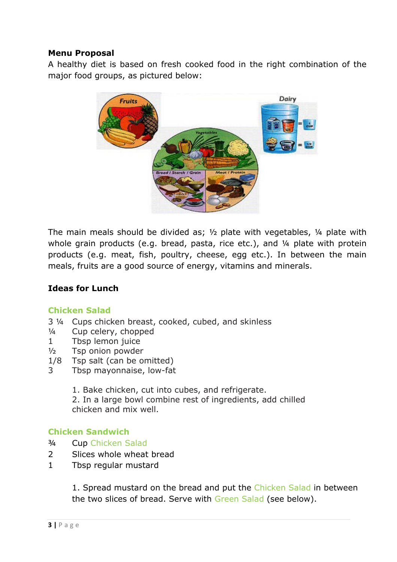## **Menu Proposal**

A healthy diet is based on fresh cooked food in the right combination of the major food groups, as pictured below:



The main meals should be divided as;  $\frac{1}{2}$  plate with vegetables,  $\frac{1}{4}$  plate with whole grain products (e.g. bread, pasta, rice etc.), and 1/4 plate with protein products (e.g. meat, fish, poultry, cheese, egg etc.). In between the main meals, fruits are a good source of energy, vitamins and minerals.

### **Ideas for Lunch**

### **Chicken Salad**

- 3 ¼ Cups chicken breast, cooked, cubed, and skinless
- ¼ Cup celery, chopped
- 1 Tbsp lemon juice
- ½ Tsp onion powder
- 1/8 Tsp salt (can be omitted)
- 3 Tbsp mayonnaise, low-fat

1. Bake chicken, cut into cubes, and refrigerate.

2. In a large bowl combine rest of ingredients, add chilled chicken and mix well.

### **Chicken Sandwich**

- ¾ Cup Chicken Salad
- 2 Slices whole wheat bread
- 1 Tbsp regular mustard

1. Spread mustard on the bread and put the Chicken Salad in between the two slices of bread. Serve with Green Salad (see below).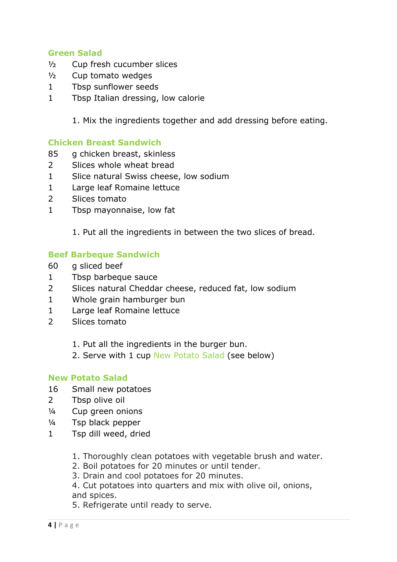## **Green Salad**

- ½ Cup fresh cucumber slices
- ½ Cup tomato wedges
- 1 Tbsp sunflower seeds
- 1 Tbsp Italian dressing, low calorie

1. Mix the ingredients together and add dressing before eating.

### **Chicken Breast Sandwich**

- 85 g chicken breast, skinless
- 2 Slices whole wheat bread
- 1 Slice natural Swiss cheese, low sodium
- 1 Large leaf Romaine lettuce
- 2 Slices tomato
- 1 Tbsp mayonnaise, low fat

1. Put all the ingredients in between the two slices of bread.

#### **Beef Barbeque Sandwich**

- 60 g sliced beef
- 1 Tbsp barbeque sauce
- 2 Slices natural Cheddar cheese, reduced fat, low sodium
- 1 Whole grain hamburger bun
- 1 Large leaf Romaine lettuce
- 2 Slices tomato
	- 1. Put all the ingredients in the burger bun.
	- 2. Serve with 1 cup New Potato Salad (see below)

#### **New Potato Salad**

- 16 Small new potatoes
- 2 Tbsp olive oil
- ¼ Cup green onions
- ¼ Tsp black pepper
- 1 Tsp dill weed, dried
	- 1. Thoroughly clean potatoes with vegetable brush and water.
	- 2. Boil potatoes for 20 minutes or until tender.
	- 3. Drain and cool potatoes for 20 minutes.

4. Cut potatoes into quarters and mix with olive oil, onions, and spices.

5. Refrigerate until ready to serve.